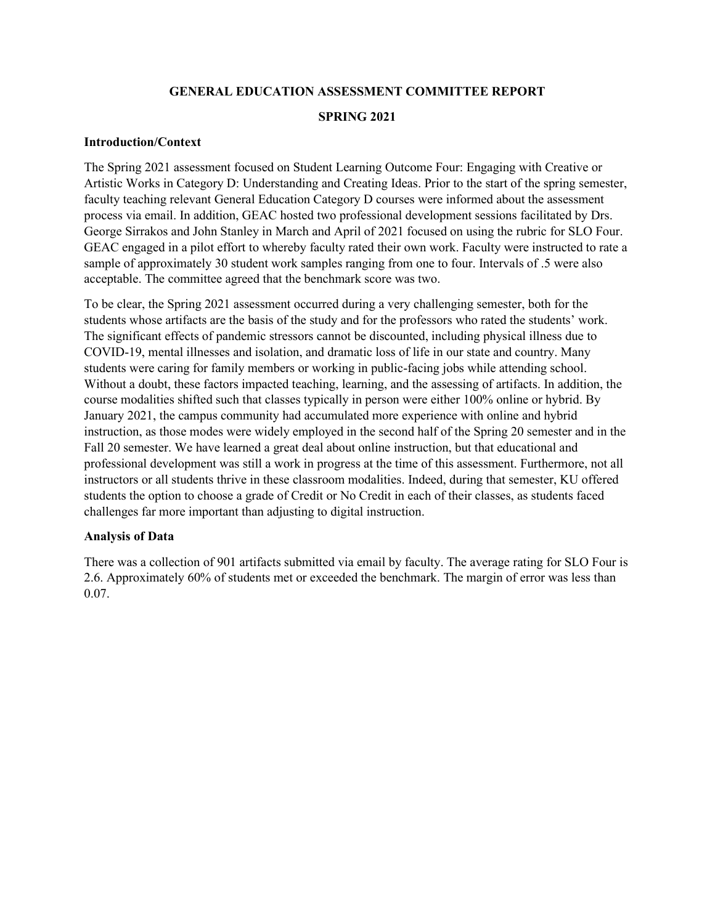#### **GENERAL EDUCATION ASSESSMENT COMMITTEE REPORT**

#### **SPRING 2021**

#### **Introduction/Context**

The Spring 2021 assessment focused on Student Learning Outcome Four: Engaging with Creative or Artistic Works in Category D: Understanding and Creating Ideas. Prior to the start of the spring semester, faculty teaching relevant General Education Category D courses were informed about the assessment process via email. In addition, GEAC hosted two professional development sessions facilitated by Drs. George Sirrakos and John Stanley in March and April of 2021 focused on using the rubric for SLO Four. GEAC engaged in a pilot effort to whereby faculty rated their own work. Faculty were instructed to rate a sample of approximately 30 student work samples ranging from one to four. Intervals of .5 were also acceptable. The committee agreed that the benchmark score was two.

To be clear, the Spring 2021 assessment occurred during a very challenging semester, both for the students whose artifacts are the basis of the study and for the professors who rated the students' work. The significant effects of pandemic stressors cannot be discounted, including physical illness due to COVID-19, mental illnesses and isolation, and dramatic loss of life in our state and country. Many students were caring for family members or working in public-facing jobs while attending school. Without a doubt, these factors impacted teaching, learning, and the assessing of artifacts. In addition, the course modalities shifted such that classes typically in person were either 100% online or hybrid. By January 2021, the campus community had accumulated more experience with online and hybrid instruction, as those modes were widely employed in the second half of the Spring 20 semester and in the Fall 20 semester. We have learned a great deal about online instruction, but that educational and professional development was still a work in progress at the time of this assessment. Furthermore, not all instructors or all students thrive in these classroom modalities. Indeed, during that semester, KU offered students the option to choose a grade of Credit or No Credit in each of their classes, as students faced challenges far more important than adjusting to digital instruction.

### **Analysis of Data**

There was a collection of 901 artifacts submitted via email by faculty. The average rating for SLO Four is 2.6. Approximately 60% of students met or exceeded the benchmark. The margin of error was less than 0.07.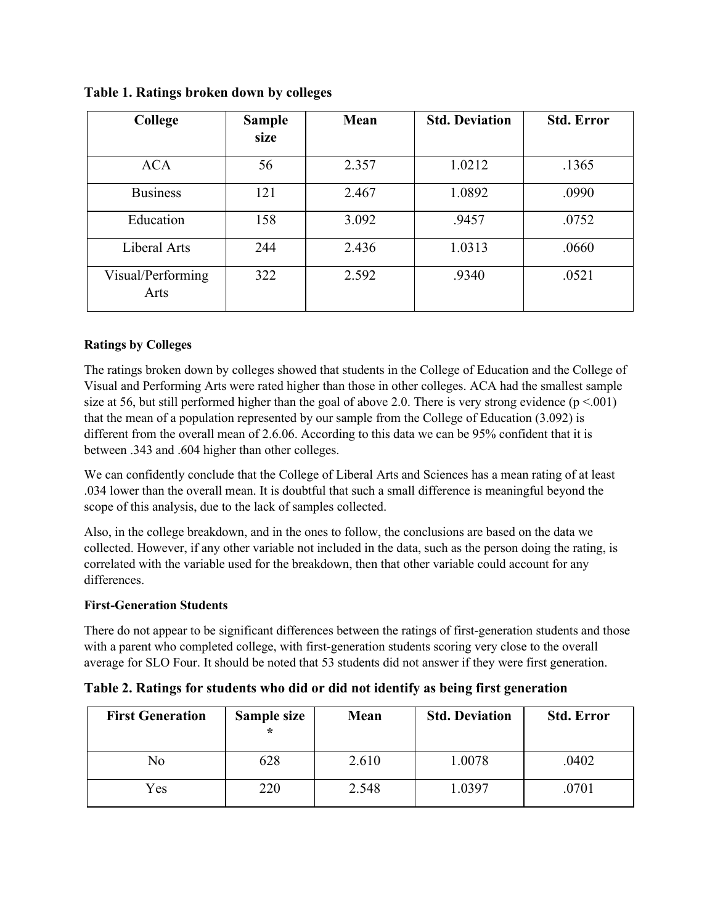| College                   | <b>Sample</b><br>size | Mean  | <b>Std. Deviation</b> | <b>Std. Error</b> |
|---------------------------|-----------------------|-------|-----------------------|-------------------|
| <b>ACA</b>                | 56                    | 2.357 | 1.0212                | .1365             |
| <b>Business</b>           | 121                   | 2.467 | 1.0892                | .0990             |
| Education                 | 158                   | 3.092 | .9457                 | .0752             |
| Liberal Arts              | 244                   | 2.436 | 1.0313                | .0660             |
| Visual/Performing<br>Arts | 322                   | 2.592 | .9340                 | .0521             |

**Table 1. Ratings broken down by colleges**

# **Ratings by Colleges**

The ratings broken down by colleges showed that students in the College of Education and the College of Visual and Performing Arts were rated higher than those in other colleges. ACA had the smallest sample size at 56, but still performed higher than the goal of above 2.0. There is very strong evidence  $(p < .001)$ that the mean of a population represented by our sample from the College of Education (3.092) is different from the overall mean of 2.6.06. According to this data we can be 95% confident that it is between .343 and .604 higher than other colleges.

We can confidently conclude that the College of Liberal Arts and Sciences has a mean rating of at least .034 lower than the overall mean. It is doubtful that such a small difference is meaningful beyond the scope of this analysis, due to the lack of samples collected.

Also, in the college breakdown, and in the ones to follow, the conclusions are based on the data we collected. However, if any other variable not included in the data, such as the person doing the rating, is correlated with the variable used for the breakdown, then that other variable could account for any differences.

## **First-Generation Students**

There do not appear to be significant differences between the ratings of first-generation students and those with a parent who completed college, with first-generation students scoring very close to the overall average for SLO Four. It should be noted that 53 students did not answer if they were first generation.

| <b>First Generation</b> | Sample size<br>$\star$ | Mean  | <b>Std. Deviation</b> | <b>Std. Error</b> |
|-------------------------|------------------------|-------|-----------------------|-------------------|
| No                      | 628                    | 2.610 | 1.0078                | .0402             |
| Yes                     | 220                    | 2.548 | 1.0397                | .0701             |

**Table 2. Ratings for students who did or did not identify as being first generation**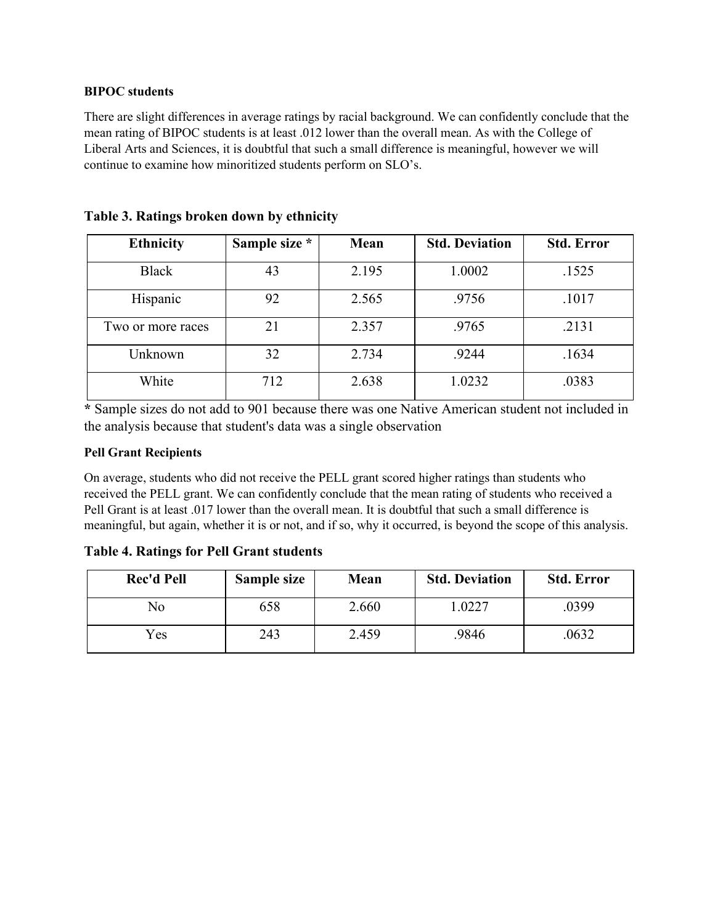### **BIPOC students**

There are slight differences in average ratings by racial background. We can confidently conclude that the mean rating of BIPOC students is at least .012 lower than the overall mean. As with the College of Liberal Arts and Sciences, it is doubtful that such a small difference is meaningful, however we will continue to examine how minoritized students perform on SLO's.

| <b>Ethnicity</b>  | Sample size * | Mean  | <b>Std. Deviation</b> | <b>Std. Error</b> |
|-------------------|---------------|-------|-----------------------|-------------------|
| <b>Black</b>      | 43            | 2.195 | 1.0002                | .1525             |
| Hispanic          | 92            | 2.565 | .9756                 | .1017             |
| Two or more races | 21            | 2.357 | .9765                 | .2131             |
| Unknown           | 32            | 2.734 | .9244                 | .1634             |
| White             | 712           | 2.638 | 1.0232                | .0383             |

**Table 3. Ratings broken down by ethnicity**

**\*** Sample sizes do not add to 901 because there was one Native American student not included in the analysis because that student's data was a single observation

## **Pell Grant Recipients**

On average, students who did not receive the PELL grant scored higher ratings than students who received the PELL grant. We can confidently conclude that the mean rating of students who received a Pell Grant is at least .017 lower than the overall mean. It is doubtful that such a small difference is meaningful, but again, whether it is or not, and if so, why it occurred, is beyond the scope of this analysis.

## **Table 4. Ratings for Pell Grant students**

| <b>Rec'd Pell</b> | Sample size | Mean  | <b>Std. Deviation</b> | <b>Std. Error</b> |
|-------------------|-------------|-------|-----------------------|-------------------|
| No                | 658         | 2.660 | .0227                 | .0399             |
| Yes               | 243         | 2.459 | 9846                  | 0632              |